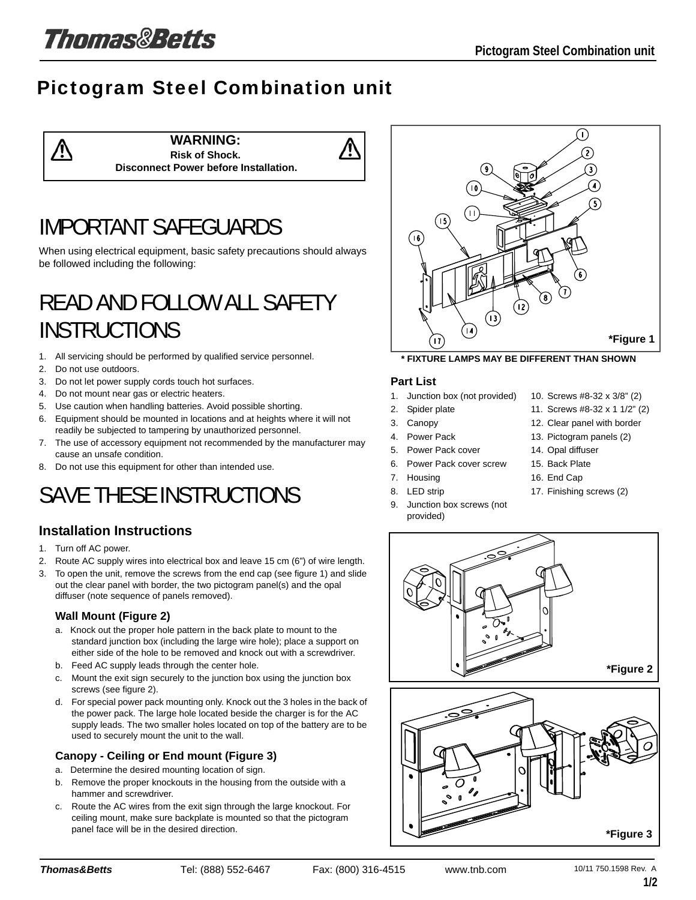# **Thomas&Betts**

### Pictogram Steel Combination unit

**WARNING: Risk of Shock. Disconnect Power before Installation.**

### IMPORTANT SAFEGUARDS

When using electrical equipment, basic safety precautions should always be followed including the following:

### READ AND FOLLOW ALL SAFETY **INSTRUCTIONS**

- 1. All servicing should be performed by qualified service personnel.
- 2. Do not use outdoors.

⁄!\

- 3. Do not let power supply cords touch hot surfaces.
- 4. Do not mount near gas or electric heaters.
- 5. Use caution when handling batteries. Avoid possible shorting.
- 6. Equipment should be mounted in locations and at heights where it will not readily be subjected to tampering by unauthorized personnel.
- 7. The use of accessory equipment not recommended by the manufacturer may cause an unsafe condition.
- 8. Do not use this equipment for other than intended use.

# SAVE THESE INSTRUCTIONS

### **Installation Instructions**

- 1. Turn off AC power.
- 2. Route AC supply wires into electrical box and leave 15 cm (6") of wire length.
- 3. To open the unit, remove the screws from the end cap (see figure 1) and slide out the clear panel with border, the two pictogram panel(s) and the opal diffuser (note sequence of panels removed).

#### **Wall Mount (Figure 2)**

- a. Knock out the proper hole pattern in the back plate to mount to the standard junction box (including the large wire hole); place a support on either side of the hole to be removed and knock out with a screwdriver.
- b. Feed AC supply leads through the center hole.
- c. Mount the exit sign securely to the junction box using the junction box screws (see figure 2).
- d. For special power pack mounting only. Knock out the 3 holes in the back of the power pack. The large hole located beside the charger is for the AC supply leads. The two smaller holes located on top of the battery are to be used to securely mount the unit to the wall.

#### **Canopy - Ceiling or End mount (Figure 3)**

- a. Determine the desired mounting location of sign.
- b. Remove the proper knockouts in the housing from the outside with a hammer and screwdriver.
- c. Route the AC wires from the exit sign through the large knockout. For ceiling mount, make sure backplate is mounted so that the pictogram panel face will be in the desired direction.



**\* FIXTURE LAMPS MAY BE DIFFERENT THAN SHOWN**

#### **Part List**

- 1. Junction box (not provided)
- 2. Spider plate
- 3. Canopy
- 4. Power Pack
- 5. Power Pack cover
- 6. Power Pack cover screw
- 7. Housing
- 8. LED strip
- 9. Junction box screws (not provided)
- 10. Screws #8-32 x 3/8" (2)
- 11. Screws #8-32 x 1 1/2" (2)
- 12. Clear panel with border
- 13. Pictogram panels (2)
- 14. Opal diffuser
- 15. Back Plate
- 16. End Cap
- 17. Finishing screws (2)



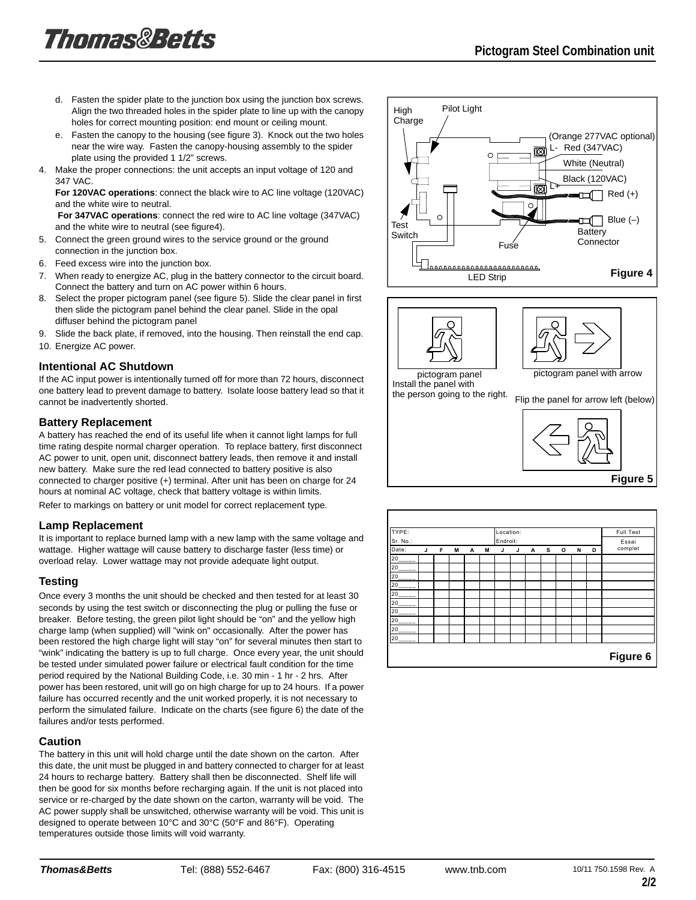- d. Fasten the spider plate to the junction box using the junction box screws. Align the two threaded holes in the spider plate to line up with the canopy holes for correct mounting position: end mount or ceiling mount.
- e. Fasten the canopy to the housing (see figure 3). Knock out the two holes near the wire way. Fasten the canopy-housing assembly to the spider plate using the provided 1 1/2" screws.
- 4. Make the proper connections: the unit accepts an input voltage of 120 and 347 VAC.

**For 120VAC operations**: connect the black wire to AC line voltage (120VAC) and the white wire to neutral.

**For 347VAC operations**: connect the red wire to AC line voltage (347VAC) and the white wire to neutral (see figure4).

- 5. Connect the green ground wires to the service ground or the ground connection in the junction box.
- 6. Feed excess wire into the junction box.
- 7. When ready to energize AC, plug in the battery connector to the circuit board. Connect the battery and turn on AC power within 6 hours.
- 8. Select the proper pictogram panel (see figure 5). Slide the clear panel in first then slide the pictogram panel behind the clear panel. Slide in the opal diffuser behind the pictogram panel
- 9. Slide the back plate, if removed, into the housing. Then reinstall the end cap.
- 10. Energize AC power.

#### **Intentional AC Shutdown**

If the AC input power is intentionally turned off for more than 72 hours, disconnect one battery lead to prevent damage to battery. Isolate loose battery lead so that it cannot be inadvertently shorted.

#### **Battery Replacement**

A battery has reached the end of its useful life when it cannot light lamps for full time rating despite normal charger operation. To replace battery, first disconnect AC power to unit, open unit, disconnect battery leads, then remove it and install new battery. Make sure the red lead connected to battery positive is also connected to charger positive (+) terminal. After unit has been on charge for 24 hours at nominal AC voltage, check that battery voltage is within limits. Refer to markings on battery or unit model for correct replacement type.

#### **Lamp Replacement**

It is important to replace burned lamp with a new lamp with the same voltage and wattage. Higher wattage will cause battery to discharge faster (less time) or overload relay. Lower wattage may not provide adequate light output.

#### **Testing**

Once every 3 months the unit should be checked and then tested for at least 30 seconds by using the test switch or disconnecting the plug or pulling the fuse or breaker. Before testing, the green pilot light should be "on" and the yellow high charge lamp (when supplied) will "wink on" occasionally. After the power has been restored the high charge light will stay "on" for several minutes then start to "wink" indicating the battery is up to full charge. Once every year, the unit should be tested under simulated power failure or electrical fault condition for the time period required by the National Building Code, i.e. 30 min - 1 hr - 2 hrs. After power has been restored, unit will go on high charge for up to 24 hours. If a power failure has occurred recently and the unit worked properly, it is not necessary to perform the simulated failure. Indicate on the charts (see figure 6) the date of the failures and/or tests performed.

#### **Caution**

The battery in this unit will hold charge until the date shown on the carton. After this date, the unit must be plugged in and battery connected to charger for at least 24 hours to recharge battery. Battery shall then be disconnected. Shelf life will then be good for six months before recharging again. If the unit is not placed into service or re-charged by the date shown on the carton, warranty will be void. The AC power supply shall be unswitched, otherwise warranty will be void. This unit is designed to operate between 10°C and 30°C (50°F and 86°F). Operating temperatures outside those limits will void warranty.









Install the panel with the person going to the right.

Flip the panel for arrow left (below)





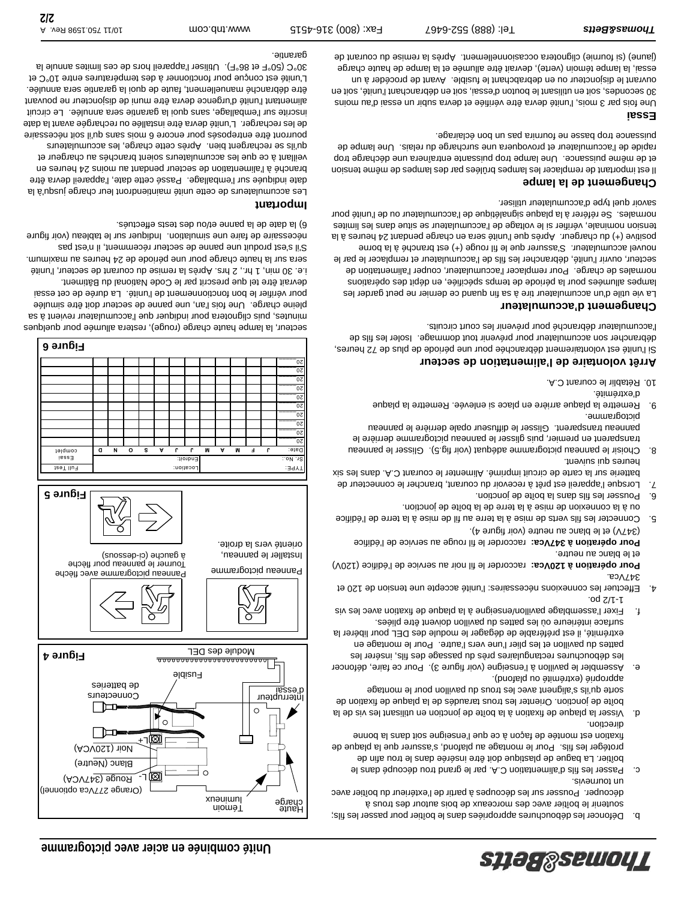

- c. Passer les fils d'alimentation C.A. par le grand trou découpé dans le boîtier. La bague de plastique doit être insérée dans le trou afin de protéger les fils. Pour le montage au platond, s'assurer que la plaque de fixation est montée de façon à ce que l'enseigne soit dans la bonne
- direction. d. Dissertion en universitation en utilisant les vis de la plant les vis de la boîte de jonction. Orienter les trous taraudés de la plaque de fixation de sorte qu'ils s'alignent avec les trous du pavillon pour le montage
- approprié (extrémité ou plafond). e. Assembler le pavillon à l'enseigne (voir figure 3). Pour ce faire, défoncer les débouchures rectangulaires près du passage des fils, insérer les pattes du pavillon et les plier l'une vers l'autre. Pour le montage en
- extrémité, il est préférable de dégager le module des DEL pour libérer la seèilq entâ treviob nollivaq ub eettre el úo enueirètni eoshuz f. Fixer l'assemblage pavillon/enseigne à la puppe de fixation avec les vis 1-1/2 po.
- 4. Effectuer les connexions nécessaires: l'unité accepte une tension de 120 et 347Vca.

Pour opération à 120Vca: raccorder le fil noir au service de l'édifice (120V) et le blanc au neutre.

Pour opération à 347Vca: raccorder le fil rouge au service de l'édifice (347V) et le blanc au neutre (voir figure 4).

- 5. Connecter les fils verts de mise à la terre au fil de mise à la terre de l'édifice ou à la connexion de mise à la terre de la boîte de jonction.
- In bousser les fils ans la boîte de jonction.
- 7. Lorsque l'appareil est prêt à recevoir du courant, brancher le connecteur de batterie sur la carte de circuit imprimé. Alimenter le courant C.A. dans les six heures qui suivent.
- 8. Choisir le panneau pictogramme adéquat (voir fig.5). Glisser le panneau transparent en premier, puis glisser le panneau pictogramme derrière le panneau transparent. Glisser le diffuseur opale derrière le panneau pictogramme.
- 9. Remettre la plaque arrière en place si enlevée. Remettre la plaque d'extrémité.
- 10. Rétablir le courant C.A.

#### **Arrêt volontaire de l'alimentation de secteur**

Si l'unité est volontaniement débranchée pour une période de plus de 72 heures, débrancher son accumulateur pour prévenir tout dommage. Isoler les fils de l'accumulateur débranché pour prévenir les court circuits.

#### **Changement d'accumulateur**

La vie utile d'un accumulateur tire à sa fin quand ce dernier ne peut garder les lampes allumées pour la période de temps spécifiée, en dépit des opérations normales de charge. Pour remplacer l'accumulateur, couper l'alimentation de secteur, ouvrir l'unité, débrancher les fils de l'accumulateur et remplacer le par le nouvel accumulateur. S'assurer que le fil rouge (+) est branché à la borne positive (+) du chargeur. Après que l'unité sera en charge pendant 24 heures à la tension nominate, véritier se lies de l'accumulateur se suite dans les limites nomales. Se référer à la plaque signalétique de l'accumulateur ou de l'unité pour savoir quel type d'accumulateur utiliser.

#### **Changement de la lampe**

Il est important de remplacer les lampes brûlées par des lampes de même tension et de même puissance. Une lampe trop puissante entraînera une décharge trop rapide de l'accumulateur et provoquera une surcharge du relais. Une lampe de puissance trop basse ne fournira pas un bon éclairage.

#### **Essai**

Une fois par 3 mois, l'unité devra être vérifiée et devra subir un essai d'au moins 30 secondes, soit en utilisant le bouton d'essai, soit en débranchant l'unité, soit en ouvrant le disjoncteur ou en debrabchant le traidieur ouvrant de procéder à un essai, la lampe témoin (verte), devrait être allumée et la lampe de haute charge (jaune) (si fournie) clignotera occasionnellement. Après la remise du courant de



secteur, la lampe haute charge (rouge), restera allumée pour quelques minutes, puis clignotera pour indiquer que l'accumulateur revient à sa pleine charge. Une fois l'an, une panne de secteur doit être simulée pour vérifier le bon fonctionnement de l'unité. La durée de cet essai devrait être tel que prescrit par le Code National du Bâtiment. i.e. 30 min, 1 hr., 2 hrs. Après la remise du courant de secteur, l'unité sera sur la haute charge pour une période de 24 heures au maximum. S'il s'est produit une panne de secteur récemment, il n'est pas nécessaire de faire une simulation. Indiquer sur le tableau (voir figure 6) la date de la panne et/ou des tests effectués.

#### **Important**

 $20$  $20$  $\alpha$  $\alpha$  $\alpha$  $\overline{0}$  $20$  $\alpha$  $0z$ 

Les accumulateurs de cette unité maintiendront leur charge jusqu'à la date indiquée sur l'emballage. Passé cette date, l'appareil devra être branché à l'alimentation de secteur pendant au moins 24 heures en veillant à ce que les accumulateurs soient branchés au chargeur et qu'ils se rechargent bien. Après cette charge, les accumulateurs pourront être entreposés pour encore 6 mois sans qu'il soit nécessaire de les recharger. L'unité devra être installée ou rechargée avant la date inscrite sur l'emballage, sans quoi la garantie sera annulée. Le circuit étre mentant l'unité d'urgence devra être muni de disponétant ne pouvant être débranché manuellement, faute de quoi la garantie sera annulée. L'unité est conçue pour fonctionner à des température sentre 10°C et 30°C (50°F et 86°F). Utiliser l'appareil hors de ces limites annule la garantie.

**Figure 6**